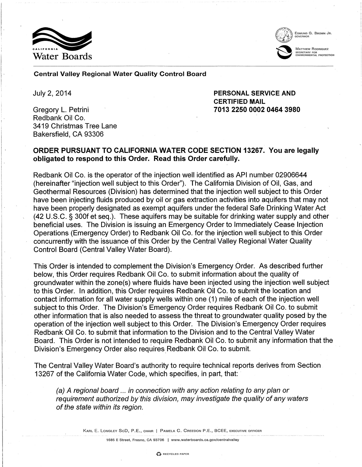



EDMUND G. BROWN JR.<br>GOVERNOR

MATTHEW RODRIQUEZ l~~ MATTE SECHETARY FOR<br>ENVIRONMENTAL PROTECTION

#### Central Valley Regional Water Quality Control Board

July 2, 2014

Gregory L. Petrini Redbank Oil Co. 3419 Christmas Tree Lane Bakersfield, CA 93306

PERSONAL SERVICE AND CERTIFIED MAIL 7013 2250 0002 0464 3980

# ORDER PURSUANT TO CALIFORNIA WATER CODE SECTION 13267. You are legally obligated to respond to this Order. Read this Order carefully.

Redbank Oil Co. is the operator of the injection well identified as API number 02906644 (hereinafter "injection well subject to this Order"). The California Division of Oil, Gas, and Geothermal Resources (Division) has determined that the injection well subject to this Order have been injecting fluids produced by oil or gas extraction activities into aquifers that may not have been properly designated as exempt aquifers under the federal Safe Drinking Water Act (42 U.S.C. § 300f et seq.). These aquifers may be suitable for drinking water supply and other beneficial uses. The Division is issuing an Emergency Order to Immediately Cease Injection Operations (Emergency Order) to Redbank Oil Co. for the injection well subject to this Order concurrently with the issuance of this Order by the Central Valley Regional Water Quality Control Board (Central Valley Water Board).

This Order is intended to complement the Division's Emergency Order. As described further below, this Order requires Redbank Oil Co. to submit information about the quality of groundwater within the zone(s) where fluids have been injected using the injection well subject to this Order. In addition, this Order requires Redbank Oil Co. to submit the location and contact information for all water supply wells within one (1) mile of each of the injection well subject to this Order. The Division's Emergency Order requires Redbank Oil Co. to submit other information that is also needed to assess the threat to groundwater quality posed·by the operation of the injection well subject to this Order. The Division's Emergency Order requires Redbank Oil Co. to submit that information to the Division and to the Central Valley Water Board. This Order is not intended to require Redbank Oil Co. to submit any information that the Division's Emergency Order also requires Redbank Oil Co. to submit.

The Central Valley Water Board's authority to require technical reports derives from Section 13267 of the California Water Code, which specifies, in part, that:

(a) A regional board ... in connection with any action relating to any plan or requirement authorized by this division, may investigate the quality of any waters of the state within its region.

KARL E. LONGLEY SCD, P.E., CHAIR | PAMELA C. CREEDON P.E., BCEE, EXECUTIVE OFFICER

1685 E Street, Fresno, CA 93706 I www.waterboards.ca.gov/centralvalley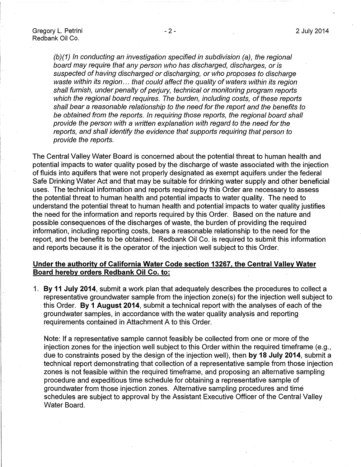(b)(1) In conducting an investigation specified in subdivision (a), the regional board may require that any person who has discharged, discharges, or is suspected of having discharged or discharging, or who proposes to discharge waste within its region... that could affect the quality of waters within its region shall furnish, under penalty of perjury, technical or monitoring program reports which the regional board requires. The burden, including costs, of these reports shall bear a reasonable relationship to the need for the report and the benefits to be obtained from the reports. In requiring those reports, the regional board shall provide the person with a written explanation with regard to the need for the reports, and shall identify the evidence that supports requiring that person to provide the reports.

The Central Valley Water Board is concerned about the potential threat to human health and potential impacts to water quality posed by the discharge of waste associated with the injection of fluids into aquifers that were not properly designated as exempt aquifers under the federal Safe Drinking Water Act and that may be suitable for drinking water supply and other beneficial uses. The technical information and reports required by this Order are necessary to assess the potential threat to human health and potential impacts to water quality. The need to understand the potential threat to human health and potential impacts to water quality justifies the need for the information and reports required by this Order. Based on the nature and possible consequences of the discharges of waste, the burden of providing the required information, including reporting costs, bears a reasonable relationship to the need for the report, and the benefits to be obtained. Redbank Oil Co. is required to submit this information and reports because it is the operator of the injection well subject to this Order.

### **Under the authority of California Water Code section 13267, the Central Valley Water Board hereby orders Redbank Oil Co. to:**

1. **By 11 July 2014,** submit a work plan that adequately describes the procedures to collect a representative groundwater sample from the injection zone(s) for the injection well subject to · this Order. **By 1 August 2014,** submit a technical report with the analyses of each of the groundwater samples, in accordance with the water quality analysis and reporting requirements contained in Attachment A to this Order.

Note: If a representative sample cannot feasibly be collected from one or more of the injection zones for the injection well subject to this Order within the required timeframe (e.g., due to constraints posed by the design of the injection well), then **by 18 July 2014,** submit a technical report demonstrating that collection of a representative sample from those injection zones is not feasible within the required timeframe, and proposing an alternative sampling procedure and expeditious time schedule for obtaining a representative sample of groundwater from those injection zones. Alternative sampling procedures and time schedules are subject to approval by the Assistant Executive Officer of the Central Valley Water Board.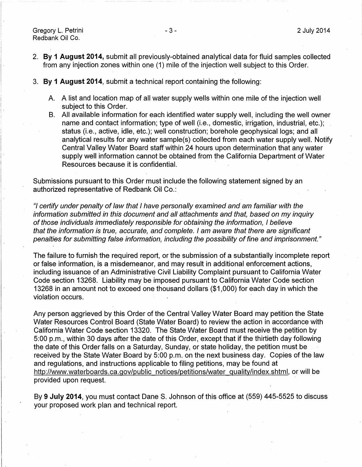Gregory L. Petrini Redbank Oil Co.

I.

- 2. **By 1 August 2014,** submit all previously-obtained analytical data for fluid samples collected from any injection zones within one (1) mile of the injection well subject to this Order.
- 3. **By 1 August 2014,** submit a technical report containing the following:
	- A. A list and location map of all water supply wells within one mile of the injection well subject to this Order.
	- B. All available information for each identified water supply well, including the well owner name and contact information; type of well (i.e., domestic, irrigation, industrial, etc.); status (i.e., active, idle, etc.); well construction; borehole geophysical logs; and all analytical results for any water sample(s) collected from each water supply well. Notify Central Valley Water Board staff within 24 hours upon determination that any water supply well information cannot be obtained from the California Department of Water Resources because it is confidential.

Submissions pursuant to this Order must include the following statement signed by an authorized representative of Redbank Oil Co.:

"/ certify under penalty of Jaw that I have personally examined and am familiar with the information submitted in this document and all attachments and that, based on my inquiry of those individuals immediately responsible for obtaining the information, I believe that the information is true, accurate, and complete. I am aware that there are significant penalties for submitting false information, including the possibility of fine and imprisonment."

The failure to furnish the required report, or the submission of a substantially incomplete report or false information, is a misdemeanor, and may result in additional enforcement actions, including issuance of an Administrative Civil Liability Complaint pursuant to California Water Code section 13268. Liability may be imposed pursuant to California Water Code section 13268 in an amount not to exceed one thousand dollars (\$1 ,000) for each day in which the violation occurs.

Any person aggrieved by this Order of the Central Valley Water Board may petition the State Water Resources Control Board (State Water Board) to review the action in accordance with California Water Code section 13320. The State Water Board must receive the petition by 5:00 p.m., within 30 days after the date of this Order, except that if the thirtieth day following the date of this Order falls on a Saturday, Sunday, or state holiday, the petition must be received by the State Water Board by 5:00 p.m. on the next business day. Copies of the law and regulations, and instructions applicable to filing petitions, may be found at http://www.waterboards.ca.gov/public notices/petitions/water quality/index.shtml, or will be provided upon request.

By **9 July 2014,** you must contact Dane S. Johnson of this office at (559) 445-5525 to discuss your proposed work plan and technical report.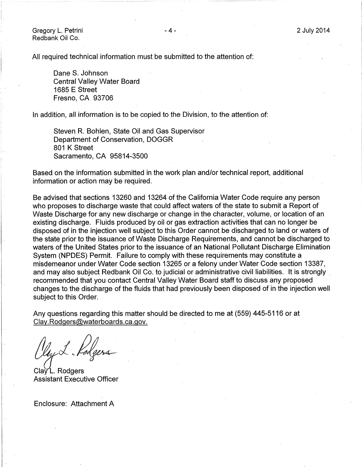2 July 2014

Gregory L. Petrini Redbank Oil Co.

r··- i ! .

I '.

All required technical information must be submitted to the attention of:

Dane S. Johnson Central Valley Water Board 1685 E Street Fresno, CA 93706

In addition, all information is to be copied to the Division, to the attention of:

Steven R. Bohlen, State Oil and Gas Supervisor Department of Conservation, DOGGR 801 K Street Sacramento, CA 95814-3500

Based on the information submitted in the work plan and/or technical report, additional information or action may be required.

Be advised that sections 13260 and 13264 of the California Water Code require any person who proposes to discharge waste that could affect waters of the state to submit a Report of Waste Discharge for any new discharge or change in the character, volume, or location of an existing discharge. Fluids produced by oil or gas extraction activities that can no longer be disposed of in the injection well subject to this Order cannot be discharged to land or waters of the state prior to the issuance of Waste Discharge Requirements, and cannot be discharged to waters of the United States prior to the issuance of an National Pollutant Discharge Elimination System (NPDES) Permit. Failure to comply with these requirements may constitute a misdemeanor under Water Code section 13265 or a felony under Water Code section 13387, and may also subject Redbank Oil Co. to judicial or administrative civil liabilities. It is strongly recommended that you contact Central Valley Water Board staff to discuss any proposed changes to the discharge of the fluids that had previously been disposed of in the injection well subject to this Order.

Any questions regarding this matter should be directed to me at (559) 445-5116 or at Clay.Rodgers@waterboards.ca.gov.

Clay L. Rodgers Assistant Executive Officer

Enclosure: Attachment A